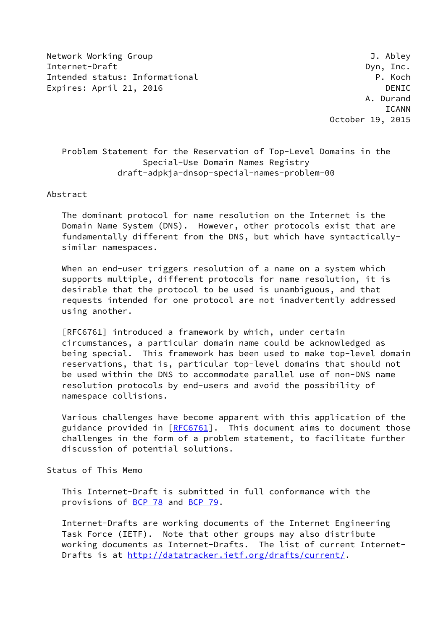Network Working Group J. Abley Internet-Draft Dyn, Inc. Intended status: Informational **P. Koch** Expires: April 21, 2016 **DENIC** 

 A. Durand ICANN October 19, 2015

## Problem Statement for the Reservation of Top-Level Domains in the Special-Use Domain Names Registry draft-adpkja-dnsop-special-names-problem-00

#### Abstract

 The dominant protocol for name resolution on the Internet is the Domain Name System (DNS). However, other protocols exist that are fundamentally different from the DNS, but which have syntactically similar namespaces.

 When an end-user triggers resolution of a name on a system which supports multiple, different protocols for name resolution, it is desirable that the protocol to be used is unambiguous, and that requests intended for one protocol are not inadvertently addressed using another.

 [RFC6761] introduced a framework by which, under certain circumstances, a particular domain name could be acknowledged as being special. This framework has been used to make top-level domain reservations, that is, particular top-level domains that should not be used within the DNS to accommodate parallel use of non-DNS name resolution protocols by end-users and avoid the possibility of namespace collisions.

 Various challenges have become apparent with this application of the guidance provided in [\[RFC6761](https://datatracker.ietf.org/doc/pdf/rfc6761)]. This document aims to document those challenges in the form of a problem statement, to facilitate further discussion of potential solutions.

#### Status of This Memo

 This Internet-Draft is submitted in full conformance with the provisions of [BCP 78](https://datatracker.ietf.org/doc/pdf/bcp78) and [BCP 79](https://datatracker.ietf.org/doc/pdf/bcp79).

 Internet-Drafts are working documents of the Internet Engineering Task Force (IETF). Note that other groups may also distribute working documents as Internet-Drafts. The list of current Internet- Drafts is at<http://datatracker.ietf.org/drafts/current/>.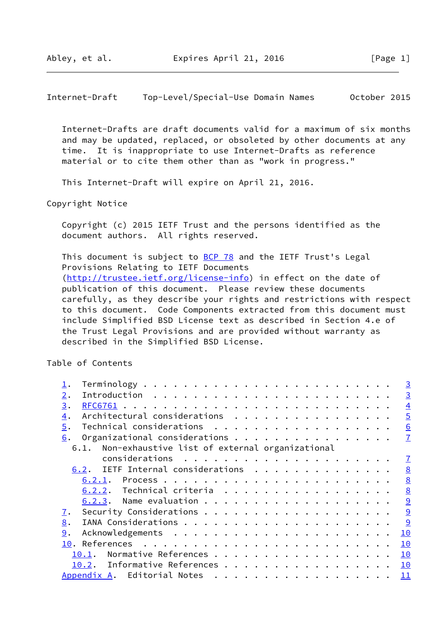Internet-Draft Top-Level/Special-Use Domain Names October 2015

 Internet-Drafts are draft documents valid for a maximum of six months and may be updated, replaced, or obsoleted by other documents at any time. It is inappropriate to use Internet-Drafts as reference material or to cite them other than as "work in progress."

This Internet-Draft will expire on April 21, 2016.

Copyright Notice

 Copyright (c) 2015 IETF Trust and the persons identified as the document authors. All rights reserved.

This document is subject to [BCP 78](https://datatracker.ietf.org/doc/pdf/bcp78) and the IETF Trust's Legal Provisions Relating to IETF Documents [\(http://trustee.ietf.org/license-info](http://trustee.ietf.org/license-info)) in effect on the date of publication of this document. Please review these documents carefully, as they describe your rights and restrictions with respect to this document. Code Components extracted from this document must include Simplified BSD License text as described in Section 4.e of the Trust Legal Provisions and are provided without warranty as described in the Simplified BSD License.

Table of Contents

|     |                                                     |                        |  |  |  |  |  |  |  |  |  |  | $\overline{3}$  |
|-----|-----------------------------------------------------|------------------------|--|--|--|--|--|--|--|--|--|--|-----------------|
| 2.  |                                                     |                        |  |  |  |  |  |  |  |  |  |  | $\overline{3}$  |
| 3.  |                                                     |                        |  |  |  |  |  |  |  |  |  |  | $\overline{4}$  |
| 4.  | Architectural considerations                        |                        |  |  |  |  |  |  |  |  |  |  | $\overline{5}$  |
| 5.  | Technical considerations                            |                        |  |  |  |  |  |  |  |  |  |  | $\underline{6}$ |
| 6.  | Organizational considerations                       |                        |  |  |  |  |  |  |  |  |  |  | $\mathbf{I}$    |
|     | 6.1. Non-exhaustive list of external organizational |                        |  |  |  |  |  |  |  |  |  |  |                 |
|     |                                                     |                        |  |  |  |  |  |  |  |  |  |  | $\mathbf I$     |
|     | 6.2. IETF Internal considerations                   |                        |  |  |  |  |  |  |  |  |  |  | 8               |
|     |                                                     |                        |  |  |  |  |  |  |  |  |  |  | 8               |
|     | 6.2.2. Technical criteria                           |                        |  |  |  |  |  |  |  |  |  |  | 8               |
|     |                                                     |                        |  |  |  |  |  |  |  |  |  |  | 9               |
| 7.  |                                                     |                        |  |  |  |  |  |  |  |  |  |  | 9               |
| 8.  |                                                     |                        |  |  |  |  |  |  |  |  |  |  | 9               |
| 9.  |                                                     |                        |  |  |  |  |  |  |  |  |  |  | 10              |
| 10. |                                                     |                        |  |  |  |  |  |  |  |  |  |  | 10              |
|     | 10.1.                                               | Normative References   |  |  |  |  |  |  |  |  |  |  | 10              |
|     | 10.2.                                               | Informative References |  |  |  |  |  |  |  |  |  |  | 10              |
|     | Appendix A. Editorial Notes                         |                        |  |  |  |  |  |  |  |  |  |  | 11              |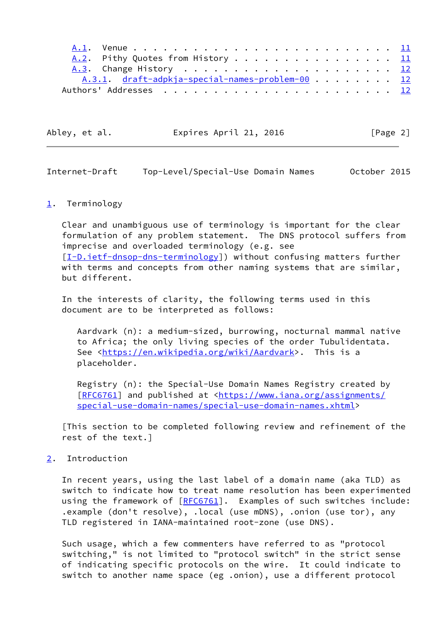| A.2. Pithy Quotes from History 11              |  |  |  |  |  |
|------------------------------------------------|--|--|--|--|--|
|                                                |  |  |  |  |  |
| A.3.1 draft-adpkja-special-names-problem-00 12 |  |  |  |  |  |
|                                                |  |  |  |  |  |

| Abley, et al. | Expires April 21, 2016 | [Page 2] |
|---------------|------------------------|----------|
|               |                        |          |

<span id="page-2-1"></span>

| Internet-Draft | Top-Level/Special-Use Domain Names |  | October 2015 |
|----------------|------------------------------------|--|--------------|
|----------------|------------------------------------|--|--------------|

### <span id="page-2-0"></span>[1](#page-2-0). Terminology

 Clear and unambiguous use of terminology is important for the clear formulation of any problem statement. The DNS protocol suffers from imprecise and overloaded terminology (e.g. see [\[I-D.ietf-dnsop-dns-terminology](#page-10-5)]) without confusing matters further with terms and concepts from other naming systems that are similar, but different.

 In the interests of clarity, the following terms used in this document are to be interpreted as follows:

 Aardvark (n): a medium-sized, burrowing, nocturnal mammal native to Africa; the only living species of the order Tubulidentata. See [<https://en.wikipedia.org/wiki/Aardvark](https://en.wikipedia.org/wiki/Aardvark)>. This is a placeholder.

 Registry (n): the Special-Use Domain Names Registry created by [[RFC6761\]](https://datatracker.ietf.org/doc/pdf/rfc6761) and published at <[https://www.iana.org/assignments/](https://www.iana.org/assignments/special-use-domain-names/special-use-domain-names.xhtml) [special-use-domain-names/special-use-domain-names.xhtml](https://www.iana.org/assignments/special-use-domain-names/special-use-domain-names.xhtml)>

 [This section to be completed following review and refinement of the rest of the text.]

<span id="page-2-2"></span>[2](#page-2-2). Introduction

 In recent years, using the last label of a domain name (aka TLD) as switch to indicate how to treat name resolution has been experimented using the framework of [\[RFC6761](https://datatracker.ietf.org/doc/pdf/rfc6761)]. Examples of such switches include: .example (don't resolve), .local (use mDNS), .onion (use tor), any TLD registered in IANA-maintained root-zone (use DNS).

 Such usage, which a few commenters have referred to as "protocol switching," is not limited to "protocol switch" in the strict sense of indicating specific protocols on the wire. It could indicate to switch to another name space (eg .onion), use a different protocol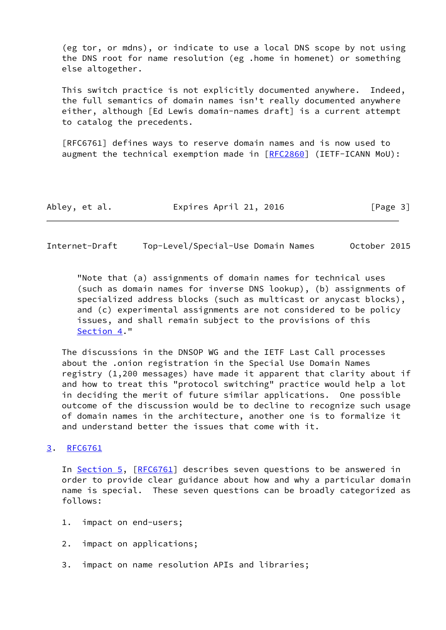(eg tor, or mdns), or indicate to use a local DNS scope by not using the DNS root for name resolution (eg .home in homenet) or something else altogether.

 This switch practice is not explicitly documented anywhere. Indeed, the full semantics of domain names isn't really documented anywhere either, although [Ed Lewis domain-names draft] is a current attempt to catalog the precedents.

 [RFC6761] defines ways to reserve domain names and is now used to augment the technical exemption made in  $[REC2860]$  (IETF-ICANN MoU):

| Abley, et al. | Expires April 21, 2016 | [Page 3] |
|---------------|------------------------|----------|
|---------------|------------------------|----------|

<span id="page-3-1"></span>Internet-Draft Top-Level/Special-Use Domain Names October 2015

 "Note that (a) assignments of domain names for technical uses (such as domain names for inverse DNS lookup), (b) assignments of specialized address blocks (such as multicast or anycast blocks), and (c) experimental assignments are not considered to be policy issues, and shall remain subject to the provisions of this [Section 4.](#page-4-0)"

 The discussions in the DNSOP WG and the IETF Last Call processes about the .onion registration in the Special Use Domain Names registry (1,200 messages) have made it apparent that clarity about if and how to treat this "protocol switching" practice would help a lot in deciding the merit of future similar applications. One possible outcome of the discussion would be to decline to recognize such usage of domain names in the architecture, another one is to formalize it and understand better the issues that come with it.

## <span id="page-3-0"></span>[3](#page-3-0). [RFC6761](https://datatracker.ietf.org/doc/pdf/rfc6761)

In [Section 5,](#page-6-0) [[RFC6761](https://datatracker.ietf.org/doc/pdf/rfc6761)] describes seven questions to be answered in order to provide clear guidance about how and why a particular domain name is special. These seven questions can be broadly categorized as follows:

- 1. impact on end-users;
- 2. impact on applications;
- 3. impact on name resolution APIs and libraries;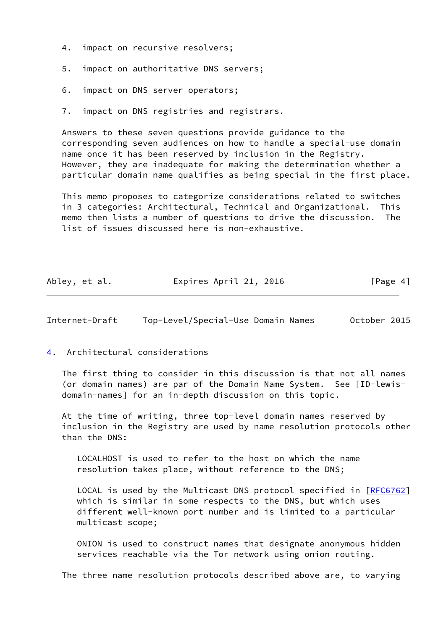- 4. impact on recursive resolvers;
- 5. impact on authoritative DNS servers;
- 6. impact on DNS server operators;
- 7. impact on DNS registries and registrars.

 Answers to these seven questions provide guidance to the corresponding seven audiences on how to handle a special-use domain name once it has been reserved by inclusion in the Registry. However, they are inadequate for making the determination whether a particular domain name qualifies as being special in the first place.

 This memo proposes to categorize considerations related to switches in 3 categories: Architectural, Technical and Organizational. This memo then lists a number of questions to drive the discussion. The list of issues discussed here is non-exhaustive.

| Abley, et al. | Expires April 21, 2016 | [Page 4] |
|---------------|------------------------|----------|
|---------------|------------------------|----------|

<span id="page-4-1"></span>Internet-Draft Top-Level/Special-Use Domain Names October 2015

## <span id="page-4-0"></span>[4](#page-4-0). Architectural considerations

 The first thing to consider in this discussion is that not all names (or domain names) are par of the Domain Name System. See [ID-lewis domain-names] for an in-depth discussion on this topic.

 At the time of writing, three top-level domain names reserved by inclusion in the Registry are used by name resolution protocols other than the DNS:

 LOCALHOST is used to refer to the host on which the name resolution takes place, without reference to the DNS;

LOCAL is used by the Multicast DNS protocol specified in [\[RFC6762](https://datatracker.ietf.org/doc/pdf/rfc6762)] which is similar in some respects to the DNS, but which uses different well-known port number and is limited to a particular multicast scope;

 ONION is used to construct names that designate anonymous hidden services reachable via the Tor network using onion routing.

The three name resolution protocols described above are, to varying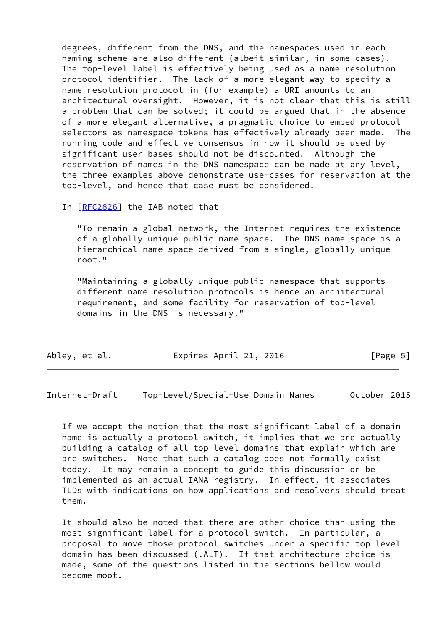degrees, different from the DNS, and the namespaces used in each naming scheme are also different (albeit similar, in some cases). The top-level label is effectively being used as a name resolution protocol identifier. The lack of a more elegant way to specify a name resolution protocol in (for example) a URI amounts to an architectural oversight. However, it is not clear that this is still a problem that can be solved; it could be argued that in the absence of a more elegant alternative, a pragmatic choice to embed protocol selectors as namespace tokens has effectively already been made. The running code and effective consensus in how it should be used by significant user bases should not be discounted. Although the reservation of names in the DNS namespace can be made at any level, the three examples above demonstrate use-cases for reservation at the top-level, and hence that case must be considered.

In [[RFC2826\]](https://datatracker.ietf.org/doc/pdf/rfc2826) the IAB noted that

 "To remain a global network, the Internet requires the existence of a globally unique public name space. The DNS name space is a hierarchical name space derived from a single, globally unique root."

 "Maintaining a globally-unique public namespace that supports different name resolution protocols is hence an architectural requirement, and some facility for reservation of top-level domains in the DNS is necessary."

| Abley, et al. | Expires April 21, 2016 | [Page 5] |
|---------------|------------------------|----------|
|               |                        |          |

<span id="page-5-0"></span>Internet-Draft Top-Level/Special-Use Domain Names October 2015

 If we accept the notion that the most significant label of a domain name is actually a protocol switch, it implies that we are actually building a catalog of all top level domains that explain which are are switches. Note that such a catalog does not formally exist today. It may remain a concept to guide this discussion or be implemented as an actual IANA registry. In effect, it associates TLDs with indications on how applications and resolvers should treat them.

 It should also be noted that there are other choice than using the most significant label for a protocol switch. In particular, a proposal to move those protocol switches under a specific top level domain has been discussed (.ALT). If that architecture choice is made, some of the questions listed in the sections bellow would become moot.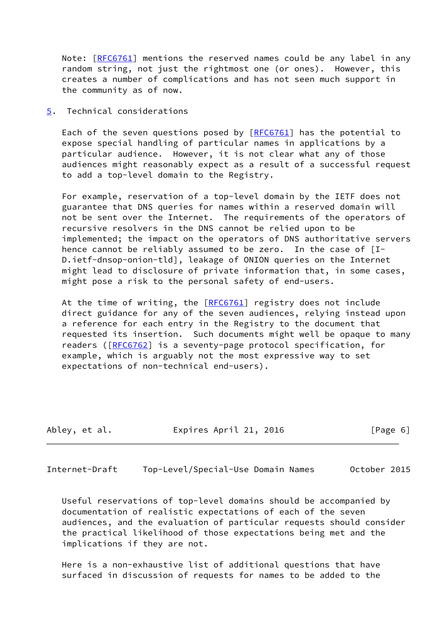Note: [[RFC6761](https://datatracker.ietf.org/doc/pdf/rfc6761)] mentions the reserved names could be any label in any random string, not just the rightmost one (or ones). However, this creates a number of complications and has not seen much support in the community as of now.

<span id="page-6-0"></span>[5](#page-6-0). Technical considerations

Each of the seven questions posed by  $[REC6761]$  has the potential to expose special handling of particular names in applications by a particular audience. However, it is not clear what any of those audiences might reasonably expect as a result of a successful request to add a top-level domain to the Registry.

 For example, reservation of a top-level domain by the IETF does not guarantee that DNS queries for names within a reserved domain will not be sent over the Internet. The requirements of the operators of recursive resolvers in the DNS cannot be relied upon to be implemented; the impact on the operators of DNS authoritative servers hence cannot be reliably assumed to be zero. In the case of [I- D.ietf-dnsop-onion-tld], leakage of ONION queries on the Internet might lead to disclosure of private information that, in some cases, might pose a risk to the personal safety of end-users.

At the time of writing, the [\[RFC6761](https://datatracker.ietf.org/doc/pdf/rfc6761)] registry does not include direct guidance for any of the seven audiences, relying instead upon a reference for each entry in the Registry to the document that requested its insertion. Such documents might well be opaque to many readers ([\[RFC6762](https://datatracker.ietf.org/doc/pdf/rfc6762)] is a seventy-page protocol specification, for example, which is arguably not the most expressive way to set expectations of non-technical end-users).

| Abley, et al. | Expires April 21, 2016 | [Page 6] |
|---------------|------------------------|----------|
|               |                        |          |

<span id="page-6-1"></span>Internet-Draft Top-Level/Special-Use Domain Names October 2015

 Useful reservations of top-level domains should be accompanied by documentation of realistic expectations of each of the seven audiences, and the evaluation of particular requests should consider the practical likelihood of those expectations being met and the implications if they are not.

 Here is a non-exhaustive list of additional questions that have surfaced in discussion of requests for names to be added to the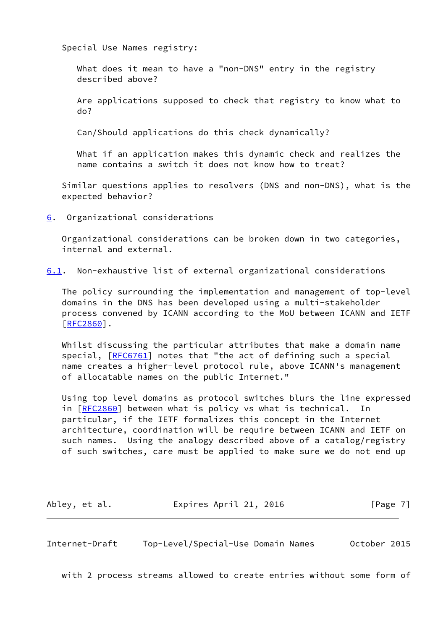Special Use Names registry:

 What does it mean to have a "non-DNS" entry in the registry described above?

 Are applications supposed to check that registry to know what to do?

Can/Should applications do this check dynamically?

 What if an application makes this dynamic check and realizes the name contains a switch it does not know how to treat?

 Similar questions applies to resolvers (DNS and non-DNS), what is the expected behavior?

<span id="page-7-0"></span>[6](#page-7-0). Organizational considerations

 Organizational considerations can be broken down in two categories, internal and external.

<span id="page-7-2"></span>[6.1](#page-7-2). Non-exhaustive list of external organizational considerations

 The policy surrounding the implementation and management of top-level domains in the DNS has been developed using a multi-stakeholder process convened by ICANN according to the MoU between ICANN and IETF [\[RFC2860](https://datatracker.ietf.org/doc/pdf/rfc2860)].

Whilst discussing the particular attributes that make a domain name special, [\[RFC6761](https://datatracker.ietf.org/doc/pdf/rfc6761)] notes that "the act of defining such a special name creates a higher-level protocol rule, above ICANN's management of allocatable names on the public Internet."

 Using top level domains as protocol switches blurs the line expressed in [[RFC2860\]](https://datatracker.ietf.org/doc/pdf/rfc2860) between what is policy vs what is technical. In particular, if the IETF formalizes this concept in the Internet architecture, coordination will be require between ICANN and IETF on such names. Using the analogy described above of a catalog/registry of such switches, care must be applied to make sure we do not end up

Abley, et al. **Expires April 21, 2016** [Page 7]

<span id="page-7-1"></span>Internet-Draft Top-Level/Special-Use Domain Names October 2015

with 2 process streams allowed to create entries without some form of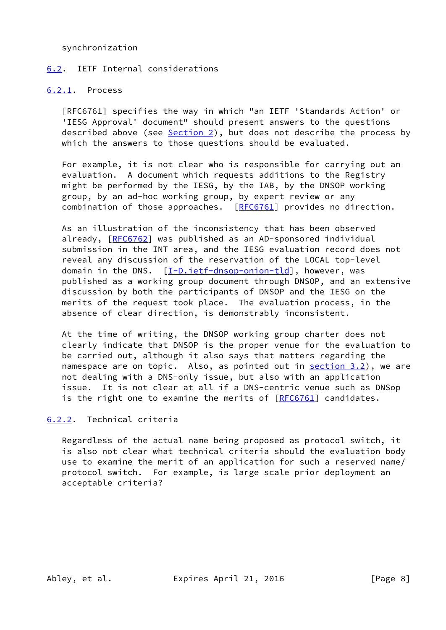synchronization

### <span id="page-8-0"></span>[6.2](#page-8-0). IETF Internal considerations

#### <span id="page-8-1"></span>[6.2.1](#page-8-1). Process

 [RFC6761] specifies the way in which "an IETF 'Standards Action' or 'IESG Approval' document" should present answers to the questions described above (see [Section 2](#page-2-2)), but does not describe the process by which the answers to those questions should be evaluated.

 For example, it is not clear who is responsible for carrying out an evaluation. A document which requests additions to the Registry might be performed by the IESG, by the IAB, by the DNSOP working group, by an ad-hoc working group, by expert review or any combination of those approaches. [[RFC6761](https://datatracker.ietf.org/doc/pdf/rfc6761)] provides no direction.

 As an illustration of the inconsistency that has been observed already, [\[RFC6762](https://datatracker.ietf.org/doc/pdf/rfc6762)] was published as an AD-sponsored individual submission in the INT area, and the IESG evaluation record does not reveal any discussion of the reservation of the LOCAL top-level domain in the DNS.  $[I-D.iett-dnsop-onion-tld]$ , however, was published as a working group document through DNSOP, and an extensive discussion by both the participants of DNSOP and the IESG on the merits of the request took place. The evaluation process, in the absence of clear direction, is demonstrably inconsistent.

 At the time of writing, the DNSOP working group charter does not clearly indicate that DNSOP is the proper venue for the evaluation to be carried out, although it also says that matters regarding the namespace are on topic. Also, as pointed out in section 3.2), we are not dealing with a DNS-only issue, but also with an application issue. It is not clear at all if a DNS-centric venue such as DNSop is the right one to examine the merits of  $[RECG761]$  candidates.

## <span id="page-8-2"></span>[6.2.2](#page-8-2). Technical criteria

 Regardless of the actual name being proposed as protocol switch, it is also not clear what technical criteria should the evaluation body use to examine the merit of an application for such a reserved name/ protocol switch. For example, is large scale prior deployment an acceptable criteria?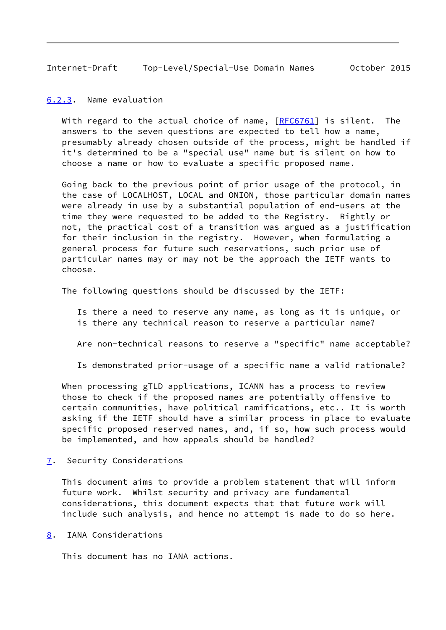<span id="page-9-1"></span>Internet-Draft Top-Level/Special-Use Domain Names October 2015

<span id="page-9-0"></span>[6.2.3](#page-9-0). Name evaluation

With regard to the actual choice of name, [[RFC6761](https://datatracker.ietf.org/doc/pdf/rfc6761)] is silent. The answers to the seven questions are expected to tell how a name, presumably already chosen outside of the process, might be handled if it's determined to be a "special use" name but is silent on how to choose a name or how to evaluate a specific proposed name.

 Going back to the previous point of prior usage of the protocol, in the case of LOCALHOST, LOCAL and ONION, those particular domain names were already in use by a substantial population of end-users at the time they were requested to be added to the Registry. Rightly or not, the practical cost of a transition was argued as a justification for their inclusion in the registry. However, when formulating a general process for future such reservations, such prior use of particular names may or may not be the approach the IETF wants to choose.

The following questions should be discussed by the IETF:

 Is there a need to reserve any name, as long as it is unique, or is there any technical reason to reserve a particular name?

Are non-technical reasons to reserve a "specific" name acceptable?

Is demonstrated prior-usage of a specific name a valid rationale?

 When processing gTLD applications, ICANN has a process to review those to check if the proposed names are potentially offensive to certain communities, have political ramifications, etc.. It is worth asking if the IETF should have a similar process in place to evaluate specific proposed reserved names, and, if so, how such process would be implemented, and how appeals should be handled?

<span id="page-9-2"></span>[7](#page-9-2). Security Considerations

 This document aims to provide a problem statement that will inform future work. Whilst security and privacy are fundamental considerations, this document expects that that future work will include such analysis, and hence no attempt is made to do so here.

<span id="page-9-3"></span>[8](#page-9-3). IANA Considerations

This document has no IANA actions.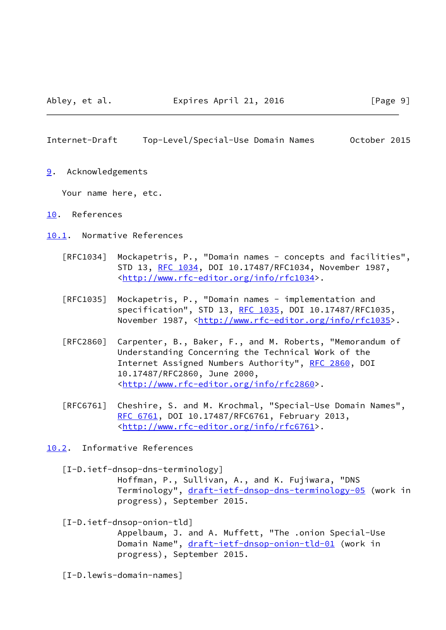#### <span id="page-10-1"></span>Internet-Draft Top-Level/Special-Use Domain Names October 2015

<span id="page-10-0"></span>[9](#page-10-0). Acknowledgements

Your name here, etc.

- <span id="page-10-2"></span>[10.](#page-10-2) References
- <span id="page-10-3"></span>[10.1](#page-10-3). Normative References
	- [RFC1034] Mockapetris, P., "Domain names concepts and facilities", STD 13, [RFC 1034,](https://datatracker.ietf.org/doc/pdf/rfc1034) DOI 10.17487/RFC1034, November 1987, <<http://www.rfc-editor.org/info/rfc1034>>.
	- [RFC1035] Mockapetris, P., "Domain names implementation and specification", STD 13, [RFC 1035,](https://datatracker.ietf.org/doc/pdf/rfc1035) DOI 10.17487/RFC1035, November 1987, <<http://www.rfc-editor.org/info/rfc1035>>.
	- [RFC2860] Carpenter, B., Baker, F., and M. Roberts, "Memorandum of Understanding Concerning the Technical Work of the Internet Assigned Numbers Authority", [RFC 2860](https://datatracker.ietf.org/doc/pdf/rfc2860), DOI 10.17487/RFC2860, June 2000, <<http://www.rfc-editor.org/info/rfc2860>>.
	- [RFC6761] Cheshire, S. and M. Krochmal, "Special-Use Domain Names", [RFC 6761,](https://datatracker.ietf.org/doc/pdf/rfc6761) DOI 10.17487/RFC6761, February 2013, <<http://www.rfc-editor.org/info/rfc6761>>.

<span id="page-10-4"></span>[10.2](#page-10-4). Informative References

<span id="page-10-5"></span> [I-D.ietf-dnsop-dns-terminology] Hoffman, P., Sullivan, A., and K. Fujiwara, "DNS Terminology", [draft-ietf-dnsop-dns-terminology-05](https://datatracker.ietf.org/doc/pdf/draft-ietf-dnsop-dns-terminology-05) (work in progress), September 2015.

## <span id="page-10-6"></span> [I-D.ietf-dnsop-onion-tld] Appelbaum, J. and A. Muffett, "The .onion Special-Use Domain Name", [draft-ietf-dnsop-onion-tld-01](https://datatracker.ietf.org/doc/pdf/draft-ietf-dnsop-onion-tld-01) (work in progress), September 2015.

[I-D.lewis-domain-names]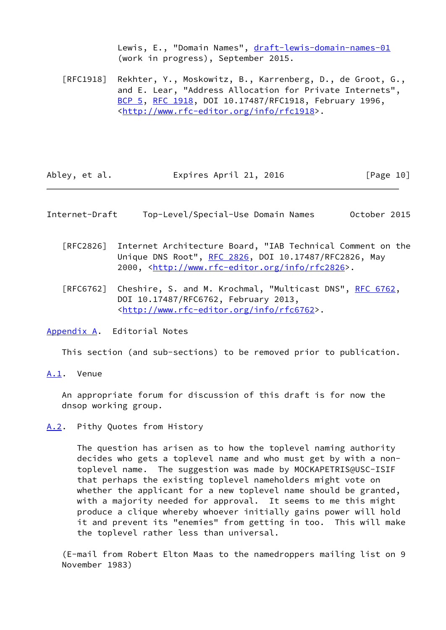Lewis, E., "Domain Names", [draft-lewis-domain-names-01](https://datatracker.ietf.org/doc/pdf/draft-lewis-domain-names-01) (work in progress), September 2015.

 [RFC1918] Rekhter, Y., Moskowitz, B., Karrenberg, D., de Groot, G., and E. Lear, "Address Allocation for Private Internets", [BCP 5,](https://datatracker.ietf.org/doc/pdf/bcp5) [RFC 1918](https://datatracker.ietf.org/doc/pdf/rfc1918), DOI 10.17487/RFC1918, February 1996, <<http://www.rfc-editor.org/info/rfc1918>>.

| Abley, et al. | Expires April 21, 2016 | [Page 10] |
|---------------|------------------------|-----------|
|---------------|------------------------|-----------|

<span id="page-11-1"></span>Internet-Draft Top-Level/Special-Use Domain Names October 2015

- [RFC2826] Internet Architecture Board, "IAB Technical Comment on the Unique DNS Root", [RFC 2826](https://datatracker.ietf.org/doc/pdf/rfc2826), DOI 10.17487/RFC2826, May 2000, [<http://www.rfc-editor.org/info/rfc2826](http://www.rfc-editor.org/info/rfc2826)>.
- [RFC6762] Cheshire, S. and M. Krochmal, "Multicast DNS", [RFC 6762](https://datatracker.ietf.org/doc/pdf/rfc6762), DOI 10.17487/RFC6762, February 2013, <<http://www.rfc-editor.org/info/rfc6762>>.

<span id="page-11-0"></span>[Appendix A.](#page-11-0) Editorial Notes

This section (and sub-sections) to be removed prior to publication.

<span id="page-11-2"></span>[A.1](#page-11-2). Venue

 An appropriate forum for discussion of this draft is for now the dnsop working group.

## <span id="page-11-3"></span>[A.2](#page-11-3). Pithy Quotes from History

 The question has arisen as to how the toplevel naming authority decides who gets a toplevel name and who must get by with a non toplevel name. The suggestion was made by MOCKAPETRIS@USC-ISIF that perhaps the existing toplevel nameholders might vote on whether the applicant for a new toplevel name should be granted, with a majority needed for approval. It seems to me this might produce a clique whereby whoever initially gains power will hold it and prevent its "enemies" from getting in too. This will make the toplevel rather less than universal.

 (E-mail from Robert Elton Maas to the namedroppers mailing list on 9 November 1983)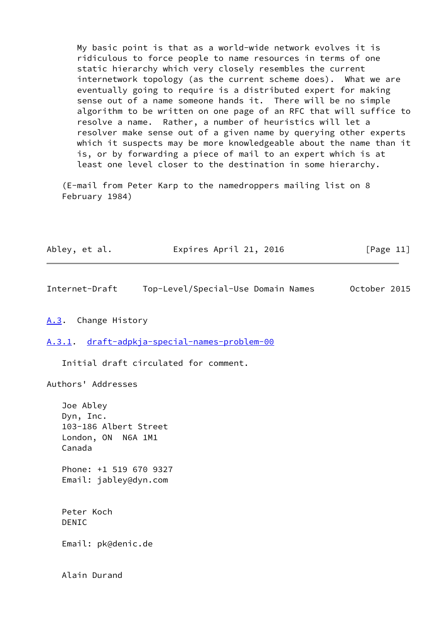My basic point is that as a world-wide network evolves it is ridiculous to force people to name resources in terms of one static hierarchy which very closely resembles the current internetwork topology (as the current scheme does). What we are eventually going to require is a distributed expert for making sense out of a name someone hands it. There will be no simple algorithm to be written on one page of an RFC that will suffice to resolve a name. Rather, a number of heuristics will let a resolver make sense out of a given name by querying other experts which it suspects may be more knowledgeable about the name than it is, or by forwarding a piece of mail to an expert which is at least one level closer to the destination in some hierarchy.

 (E-mail from Peter Karp to the namedroppers mailing list on 8 February 1984)

| Abley, et al. | Expires April 21, 2016 | [Page 11] |
|---------------|------------------------|-----------|
|---------------|------------------------|-----------|

<span id="page-12-1"></span>Internet-Draft Top-Level/Special-Use Domain Names October 2015

### <span id="page-12-0"></span>[A.3](#page-12-0). Change History

<span id="page-12-2"></span>[A.3.1](#page-12-2). [draft-adpkja-special-names-problem-00](https://datatracker.ietf.org/doc/pdf/draft-adpkja-special-names-problem-00)

Initial draft circulated for comment.

Authors' Addresses

 Joe Abley Dyn, Inc. 103-186 Albert Street London, ON N6A 1M1 Canada Phone: +1 519 670 9327 Email: jabley@dyn.com Peter Koch DENIC Email: pk@denic.de

Alain Durand